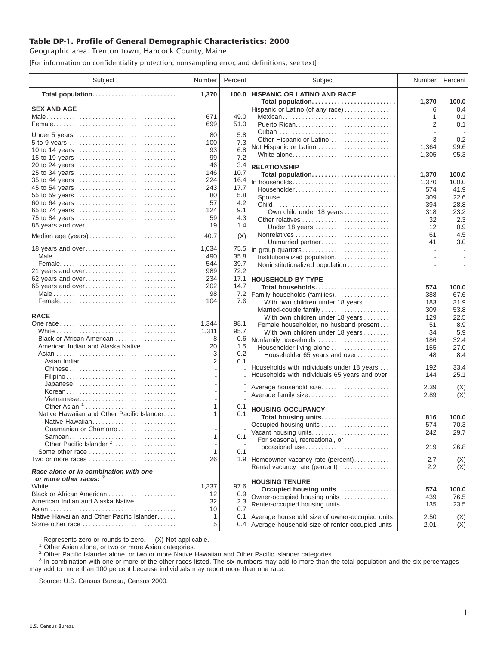## **Table DP-1. Profile of General Demographic Characteristics: 2000**

Geographic area: Trenton town, Hancock County, Maine

[For information on confidentiality protection, nonsampling error, and definitions, see text]

| Subject                                                         | Number     | Percent      | Subject                                                | Number     | Percent      |
|-----------------------------------------------------------------|------------|--------------|--------------------------------------------------------|------------|--------------|
| Total population                                                | 1,370      | 100.0        | <b>HISPANIC OR LATINO AND RACE</b>                     |            |              |
| <b>SEX AND AGE</b>                                              |            |              | Total population<br>Hispanic or Latino (of any race)   | 1,370<br>6 | 100.0<br>0.4 |
|                                                                 | 671        | 49.0         | Mexican                                                | 1          | 0.1          |
|                                                                 | 699        | 51.0         |                                                        | 2          | 0.1          |
|                                                                 |            |              |                                                        |            |              |
| Under 5 years                                                   | 80<br>100  | 5.8<br>7.3   | Other Hispanic or Latino                               | 3          | 0.2          |
| 10 to 14 years                                                  | 93         | 6.8          | Not Hispanic or Latino                                 | 1,364      | 99.6         |
| 15 to 19 years                                                  | 99         | 7.2          | White alone                                            | 1,305      | 95.3         |
| 20 to 24 years                                                  | 46         | 3.4          | <b>RELATIONSHIP</b>                                    |            |              |
| 25 to 34 years                                                  | 146        | 10.7         | Total population                                       | 1,370      | 100.0        |
| 35 to 44 years                                                  | 224        | 16.4         | In households                                          | 1,370      | 100.0        |
| 45 to 54 years                                                  | 243        | 17.7         | Householder                                            | 574        | 41.9         |
| 55 to 59 years                                                  | 80         | 5.8          | Spouse                                                 | 309        | 22.6         |
| 60 to 64 years                                                  | 57         | 4.2          |                                                        | 394        | 28.8         |
| 65 to 74 years                                                  | 124        | 9.1          | Own child under 18 years                               | 318        | 23.2         |
| 75 to 84 years                                                  | 59         | 4.3          | Other relatives                                        | 32         | 2.3          |
| 85 years and over                                               | 19         | 1.4          | Under 18 years                                         | 12         | 0.9          |
| Median age (years)                                              | 40.7       | (X)          |                                                        | 61         | 4.5          |
|                                                                 |            |              | Unmarried partner                                      | 41         | 3.0          |
| 18 years and over                                               | 1,034      | 75.5         | In group quarters                                      |            |              |
|                                                                 | 490<br>544 | 35.8<br>39.7 | Institutionalized population                           |            |              |
| 21 years and over                                               | 989        | 72.2         | Noninstitutionalized population                        |            |              |
| 62 years and over                                               | 234        | 17.1         | <b>HOUSEHOLD BY TYPE</b>                               |            |              |
| 65 years and over                                               | 202        | 14.7         | Total households                                       | 574        | 100.0        |
|                                                                 | 98         | 7.2          | Family households (families)                           | 388        | 67.6         |
|                                                                 | 104        | 7.6          | With own children under 18 years                       | 183        | 31.9         |
|                                                                 |            |              | Married-couple family                                  | 309        | 53.8         |
| <b>RACE</b>                                                     |            |              | With own children under 18 years                       | 129        | 22.5         |
|                                                                 | 1,344      | 98.1         | Female householder, no husband present                 | 51         | 8.9          |
|                                                                 | 1,311      | 95.7         | With own children under 18 years                       | 34         | 5.9          |
| Black or African American                                       | 8          | 0.6          | Nonfamily households                                   | 186        | 32.4         |
| American Indian and Alaska Native                               | 20         | 1.5          | Householder living alone                               | 155        | 27.0         |
|                                                                 | 3          | 0.2          | Householder 65 years and over                          | 48         | 8.4          |
|                                                                 | 2          | 0.1          | Households with individuals under 18 years             | 192        | 33.4         |
| Chinese                                                         |            |              | Households with individuals 65 years and over          | 144        | 25.1         |
|                                                                 |            |              |                                                        |            |              |
| Japanese<br>Korean                                              |            |              | Average household size                                 | 2.39       | (X)          |
| Vietnamese                                                      |            |              | Average family size                                    | 2.89       | (X)          |
| Other Asian <sup>1</sup>                                        | 1          | 0.1          |                                                        |            |              |
| Native Hawaiian and Other Pacific Islander                      | 1          | 0.1          | <b>HOUSING OCCUPANCY</b>                               |            |              |
| Native Hawaiian                                                 |            |              | Total housing units                                    | 816        | 100.0        |
| Guamanian or Chamorro                                           |            |              | Occupied housing units                                 | 574        | 70.3<br>29.7 |
|                                                                 | 1          | 0.1          | Vacant housing units<br>For seasonal, recreational, or | 242        |              |
| Other Pacific Islander <sup>2</sup>                             |            |              | occasional use                                         | 219        | 26.8         |
| Some other race                                                 | 1          | 0.1          |                                                        |            |              |
| Two or more races                                               | 26         |              | 1.9 Homeowner vacancy rate (percent)                   | 2.7        | (X)          |
| Race alone or in combination with one<br>or more other races: 3 |            |              | Rental vacancy rate (percent)                          | 2.2        | (X)          |
|                                                                 | 1,337      | 97.6         | <b>HOUSING TENURE</b>                                  |            |              |
| Black or African American                                       | 12         | 0.9          | Occupied housing units                                 | 574        | 100.0        |
| American Indian and Alaska Native                               | 32         | 2.3          | Owner-occupied housing units                           | 439        | 76.5         |
|                                                                 | 10         | 0.7          | Renter-occupied housing units                          | 135        | 23.5         |
| Native Hawaiian and Other Pacific Islander                      | 1          | 0.1          | Average household size of owner-occupied units.        | 2.50       | (X)          |
| Some other race                                                 | 5          |              | 0.4 Average household size of renter-occupied units.   | 2.01       | (X)          |

- Represents zero or rounds to zero. (X) Not applicable.<br><sup>1</sup> Other Asian alone, or two or more Asian categories.

<sup>2</sup> Other Pacific Islander alone, or two or more Native Hawaiian and Other Pacific Islander categories.<br><sup>3</sup> In combination with one or more of the other races listed. The six numbers may add to more than the total populati may add to more than 100 percent because individuals may report more than one race.

Source: U.S. Census Bureau, Census 2000.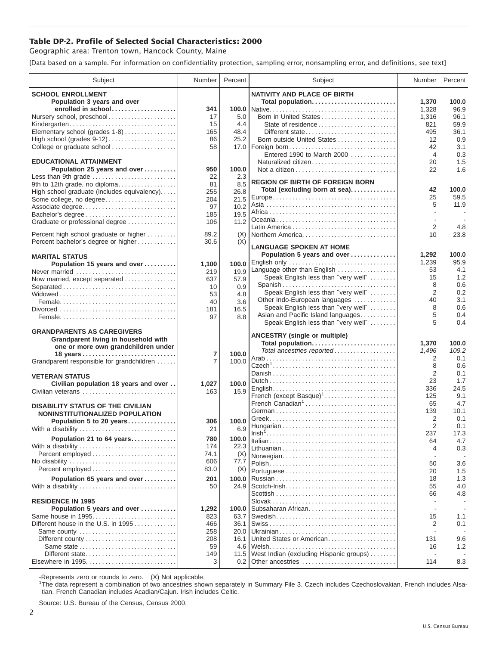## **Table DP-2. Profile of Selected Social Characteristics: 2000**

Geographic area: Trenton town, Hancock County, Maine

[Data based on a sample. For information on confidentiality protection, sampling error, nonsampling error, and definitions, see text]

| <b>SCHOOL ENROLLMENT</b><br><b>NATIVITY AND PLACE OF BIRTH</b><br>Population 3 years and over<br>Total population<br>1,370<br>100.0<br>enrolled in school<br>96.9<br>341<br>1,328<br>Nursery school, preschool<br>17<br>5.0<br>Born in United States<br>96.1<br>1,316<br>15<br>State of residence<br>59.9<br>Kindergarten<br>4.4<br>821<br>Elementary school (grades 1-8)<br>165<br>48.4<br>36.1<br>Different state<br>495<br>86<br>25.2<br>Born outside United States<br>12<br>0.9<br>College or graduate school<br>3.1<br>58<br>17.0   Foreign born<br>42<br>Entered 1990 to March 2000<br>$\overline{4}$<br>0.3<br><b>EDUCATIONAL ATTAINMENT</b><br>Naturalized citizen<br>20<br>1.5<br>100.0<br>1.6<br>Population 25 years and over<br>950<br>22<br>Less than 9th grade<br>22<br>2.3<br><b>REGION OF BIRTH OF FOREIGN BORN</b><br>9th to 12th grade, no diploma<br>81<br>8.5<br>Total (excluding born at sea)<br>42<br>100.0<br>High school graduate (includes equivalency)<br>255<br>26.8<br>25<br>59.5<br>Some college, no degree<br>21.5<br>204<br>5<br>11.9<br>10.2<br>97<br>Associate degree<br>19.5<br>Bachelor's degree<br>185<br>11.2<br>Graduate or professional degree<br>106<br>$\overline{2}$<br>4.8<br>89.2<br>Percent high school graduate or higher<br>(X)<br>Northern America<br>10<br>23.8<br>Percent bachelor's degree or higher<br>(X)<br>30.6<br><b>LANGUAGE SPOKEN AT HOME</b><br>Population 5 years and over<br>1,292<br>100.0<br><b>MARITAL STATUS</b><br>English only<br>95.9<br>1,239<br>Population 15 years and over<br>100.0<br>1,100<br>Language other than English<br>4.1<br>53<br>19.9<br>Never married<br>219<br>Speak English less than "very well"<br>1.2<br>15<br>57.9<br>Now married, except separated<br>637<br>Spanish<br>0.6<br>8<br>0.9<br>Separated<br>10<br>$\overline{2}$<br>0.2<br>Speak English less than "very well"<br>53<br>4.8<br>Other Indo-European languages<br>40<br>3.1<br>3.6<br>40<br>Speak English less than "very well"<br>8<br>0.6<br>16.5<br>181<br>5<br>Asian and Pacific Island languages<br>0.4<br>97<br>8.8<br>Speak English less than "very well"<br>5<br>0.4<br><b>GRANDPARENTS AS CAREGIVERS</b><br><b>ANCESTRY (single or multiple)</b><br>Grandparent living in household with<br>Total population<br>1,370<br>100.0<br>one or more own grandchildren under<br>Total ancestries reported<br>109.2<br>1,496<br>7<br>100.0<br>2<br>0.1<br>Grandparent responsible for grandchildren<br>7<br>100.0<br>8<br>0.6<br>$\overline{2}$<br>0.1<br><b>VETERAN STATUS</b><br>23<br>1.7<br>100.0<br>Civilian population 18 years and over<br>1,027<br>24.5<br>336<br>15.9<br>Civilian veterans<br>163<br>French (except Basque) <sup>1</sup><br>125<br>9.1<br>French Canadian <sup>1</sup><br>65<br>4.7<br><b>DISABILITY STATUS OF THE CIVILIAN</b><br>10.1<br>139<br>NONINSTITUTIONALIZED POPULATION<br>$\overline{2}$<br>0.1<br>Population 5 to 20 years<br>100.0<br>306<br>$\overline{2}$<br>0.1<br>With a disability<br>21<br>6.9<br>237<br>17.3<br>Population 21 to 64 years<br>780<br>100.0<br>64<br>4.7<br>174<br>22.3<br>With a disability<br>4<br>0.3<br>Percent employed<br>74.1<br>(X)<br>Norwegian<br>606<br>77.7<br>3.6<br>50<br>83.0<br>(X)<br>20<br>1.5<br>Population 65 years and over<br>201<br>100.0<br>18<br>1.3<br>55<br>4.0<br>50<br>24.9<br>With a disability<br>66<br>4.8<br><b>RESIDENCE IN 1995</b><br>Subsaharan African<br>Population 5 years and over<br>1,292<br>100.0<br>Same house in 1995<br>823<br>63.7<br>15<br>1.1<br>Different house in the U.S. in 1995<br>2<br>0.1<br>466<br>36.1<br>Same county<br>258<br>20.0<br>United States or American<br>208<br>131<br>9.6<br>16.1<br>Same state<br>1.2<br>59<br>4.6<br>16<br>West Indian (excluding Hispanic groups)<br>Different state<br>149<br>11.5<br>3<br>114<br>8.3<br>0.2 Other ancestries | Subject | Number | Percent | Subject | Number | Percent |
|--------------------------------------------------------------------------------------------------------------------------------------------------------------------------------------------------------------------------------------------------------------------------------------------------------------------------------------------------------------------------------------------------------------------------------------------------------------------------------------------------------------------------------------------------------------------------------------------------------------------------------------------------------------------------------------------------------------------------------------------------------------------------------------------------------------------------------------------------------------------------------------------------------------------------------------------------------------------------------------------------------------------------------------------------------------------------------------------------------------------------------------------------------------------------------------------------------------------------------------------------------------------------------------------------------------------------------------------------------------------------------------------------------------------------------------------------------------------------------------------------------------------------------------------------------------------------------------------------------------------------------------------------------------------------------------------------------------------------------------------------------------------------------------------------------------------------------------------------------------------------------------------------------------------------------------------------------------------------------------------------------------------------------------------------------------------------------------------------------------------------------------------------------------------------------------------------------------------------------------------------------------------------------------------------------------------------------------------------------------------------------------------------------------------------------------------------------------------------------------------------------------------------------------------------------------------------------------------------------------------------------------------------------------------------------------------------------------------------------------------------------------------------------------------------------------------------------------------------------------------------------------------------------------------------------------------------------------------------------------------------------------------------------------------------------------------------------------------------------------------------------------------------------------------------------------------------------------------------------------------------------------------------------------------------------------------------------------------------------------------------------------------------------------------------------------------------------------------------------------------------------------------------------------------------------------------------------------------------------------------------------------------------------------------------------------------------------------------------------------------------------------------------------------------------------------------------------------------|---------|--------|---------|---------|--------|---------|
|                                                                                                                                                                                                                                                                                                                                                                                                                                                                                                                                                                                                                                                                                                                                                                                                                                                                                                                                                                                                                                                                                                                                                                                                                                                                                                                                                                                                                                                                                                                                                                                                                                                                                                                                                                                                                                                                                                                                                                                                                                                                                                                                                                                                                                                                                                                                                                                                                                                                                                                                                                                                                                                                                                                                                                                                                                                                                                                                                                                                                                                                                                                                                                                                                                                                                                                                                                                                                                                                                                                                                                                                                                                                                                                                                                                                                                            |         |        |         |         |        |         |
|                                                                                                                                                                                                                                                                                                                                                                                                                                                                                                                                                                                                                                                                                                                                                                                                                                                                                                                                                                                                                                                                                                                                                                                                                                                                                                                                                                                                                                                                                                                                                                                                                                                                                                                                                                                                                                                                                                                                                                                                                                                                                                                                                                                                                                                                                                                                                                                                                                                                                                                                                                                                                                                                                                                                                                                                                                                                                                                                                                                                                                                                                                                                                                                                                                                                                                                                                                                                                                                                                                                                                                                                                                                                                                                                                                                                                                            |         |        |         |         |        |         |
|                                                                                                                                                                                                                                                                                                                                                                                                                                                                                                                                                                                                                                                                                                                                                                                                                                                                                                                                                                                                                                                                                                                                                                                                                                                                                                                                                                                                                                                                                                                                                                                                                                                                                                                                                                                                                                                                                                                                                                                                                                                                                                                                                                                                                                                                                                                                                                                                                                                                                                                                                                                                                                                                                                                                                                                                                                                                                                                                                                                                                                                                                                                                                                                                                                                                                                                                                                                                                                                                                                                                                                                                                                                                                                                                                                                                                                            |         |        |         |         |        |         |
|                                                                                                                                                                                                                                                                                                                                                                                                                                                                                                                                                                                                                                                                                                                                                                                                                                                                                                                                                                                                                                                                                                                                                                                                                                                                                                                                                                                                                                                                                                                                                                                                                                                                                                                                                                                                                                                                                                                                                                                                                                                                                                                                                                                                                                                                                                                                                                                                                                                                                                                                                                                                                                                                                                                                                                                                                                                                                                                                                                                                                                                                                                                                                                                                                                                                                                                                                                                                                                                                                                                                                                                                                                                                                                                                                                                                                                            |         |        |         |         |        |         |
|                                                                                                                                                                                                                                                                                                                                                                                                                                                                                                                                                                                                                                                                                                                                                                                                                                                                                                                                                                                                                                                                                                                                                                                                                                                                                                                                                                                                                                                                                                                                                                                                                                                                                                                                                                                                                                                                                                                                                                                                                                                                                                                                                                                                                                                                                                                                                                                                                                                                                                                                                                                                                                                                                                                                                                                                                                                                                                                                                                                                                                                                                                                                                                                                                                                                                                                                                                                                                                                                                                                                                                                                                                                                                                                                                                                                                                            |         |        |         |         |        |         |
|                                                                                                                                                                                                                                                                                                                                                                                                                                                                                                                                                                                                                                                                                                                                                                                                                                                                                                                                                                                                                                                                                                                                                                                                                                                                                                                                                                                                                                                                                                                                                                                                                                                                                                                                                                                                                                                                                                                                                                                                                                                                                                                                                                                                                                                                                                                                                                                                                                                                                                                                                                                                                                                                                                                                                                                                                                                                                                                                                                                                                                                                                                                                                                                                                                                                                                                                                                                                                                                                                                                                                                                                                                                                                                                                                                                                                                            |         |        |         |         |        |         |
|                                                                                                                                                                                                                                                                                                                                                                                                                                                                                                                                                                                                                                                                                                                                                                                                                                                                                                                                                                                                                                                                                                                                                                                                                                                                                                                                                                                                                                                                                                                                                                                                                                                                                                                                                                                                                                                                                                                                                                                                                                                                                                                                                                                                                                                                                                                                                                                                                                                                                                                                                                                                                                                                                                                                                                                                                                                                                                                                                                                                                                                                                                                                                                                                                                                                                                                                                                                                                                                                                                                                                                                                                                                                                                                                                                                                                                            |         |        |         |         |        |         |
|                                                                                                                                                                                                                                                                                                                                                                                                                                                                                                                                                                                                                                                                                                                                                                                                                                                                                                                                                                                                                                                                                                                                                                                                                                                                                                                                                                                                                                                                                                                                                                                                                                                                                                                                                                                                                                                                                                                                                                                                                                                                                                                                                                                                                                                                                                                                                                                                                                                                                                                                                                                                                                                                                                                                                                                                                                                                                                                                                                                                                                                                                                                                                                                                                                                                                                                                                                                                                                                                                                                                                                                                                                                                                                                                                                                                                                            |         |        |         |         |        |         |
|                                                                                                                                                                                                                                                                                                                                                                                                                                                                                                                                                                                                                                                                                                                                                                                                                                                                                                                                                                                                                                                                                                                                                                                                                                                                                                                                                                                                                                                                                                                                                                                                                                                                                                                                                                                                                                                                                                                                                                                                                                                                                                                                                                                                                                                                                                                                                                                                                                                                                                                                                                                                                                                                                                                                                                                                                                                                                                                                                                                                                                                                                                                                                                                                                                                                                                                                                                                                                                                                                                                                                                                                                                                                                                                                                                                                                                            |         |        |         |         |        |         |
|                                                                                                                                                                                                                                                                                                                                                                                                                                                                                                                                                                                                                                                                                                                                                                                                                                                                                                                                                                                                                                                                                                                                                                                                                                                                                                                                                                                                                                                                                                                                                                                                                                                                                                                                                                                                                                                                                                                                                                                                                                                                                                                                                                                                                                                                                                                                                                                                                                                                                                                                                                                                                                                                                                                                                                                                                                                                                                                                                                                                                                                                                                                                                                                                                                                                                                                                                                                                                                                                                                                                                                                                                                                                                                                                                                                                                                            |         |        |         |         |        |         |
|                                                                                                                                                                                                                                                                                                                                                                                                                                                                                                                                                                                                                                                                                                                                                                                                                                                                                                                                                                                                                                                                                                                                                                                                                                                                                                                                                                                                                                                                                                                                                                                                                                                                                                                                                                                                                                                                                                                                                                                                                                                                                                                                                                                                                                                                                                                                                                                                                                                                                                                                                                                                                                                                                                                                                                                                                                                                                                                                                                                                                                                                                                                                                                                                                                                                                                                                                                                                                                                                                                                                                                                                                                                                                                                                                                                                                                            |         |        |         |         |        |         |
|                                                                                                                                                                                                                                                                                                                                                                                                                                                                                                                                                                                                                                                                                                                                                                                                                                                                                                                                                                                                                                                                                                                                                                                                                                                                                                                                                                                                                                                                                                                                                                                                                                                                                                                                                                                                                                                                                                                                                                                                                                                                                                                                                                                                                                                                                                                                                                                                                                                                                                                                                                                                                                                                                                                                                                                                                                                                                                                                                                                                                                                                                                                                                                                                                                                                                                                                                                                                                                                                                                                                                                                                                                                                                                                                                                                                                                            |         |        |         |         |        |         |
|                                                                                                                                                                                                                                                                                                                                                                                                                                                                                                                                                                                                                                                                                                                                                                                                                                                                                                                                                                                                                                                                                                                                                                                                                                                                                                                                                                                                                                                                                                                                                                                                                                                                                                                                                                                                                                                                                                                                                                                                                                                                                                                                                                                                                                                                                                                                                                                                                                                                                                                                                                                                                                                                                                                                                                                                                                                                                                                                                                                                                                                                                                                                                                                                                                                                                                                                                                                                                                                                                                                                                                                                                                                                                                                                                                                                                                            |         |        |         |         |        |         |
|                                                                                                                                                                                                                                                                                                                                                                                                                                                                                                                                                                                                                                                                                                                                                                                                                                                                                                                                                                                                                                                                                                                                                                                                                                                                                                                                                                                                                                                                                                                                                                                                                                                                                                                                                                                                                                                                                                                                                                                                                                                                                                                                                                                                                                                                                                                                                                                                                                                                                                                                                                                                                                                                                                                                                                                                                                                                                                                                                                                                                                                                                                                                                                                                                                                                                                                                                                                                                                                                                                                                                                                                                                                                                                                                                                                                                                            |         |        |         |         |        |         |
|                                                                                                                                                                                                                                                                                                                                                                                                                                                                                                                                                                                                                                                                                                                                                                                                                                                                                                                                                                                                                                                                                                                                                                                                                                                                                                                                                                                                                                                                                                                                                                                                                                                                                                                                                                                                                                                                                                                                                                                                                                                                                                                                                                                                                                                                                                                                                                                                                                                                                                                                                                                                                                                                                                                                                                                                                                                                                                                                                                                                                                                                                                                                                                                                                                                                                                                                                                                                                                                                                                                                                                                                                                                                                                                                                                                                                                            |         |        |         |         |        |         |
|                                                                                                                                                                                                                                                                                                                                                                                                                                                                                                                                                                                                                                                                                                                                                                                                                                                                                                                                                                                                                                                                                                                                                                                                                                                                                                                                                                                                                                                                                                                                                                                                                                                                                                                                                                                                                                                                                                                                                                                                                                                                                                                                                                                                                                                                                                                                                                                                                                                                                                                                                                                                                                                                                                                                                                                                                                                                                                                                                                                                                                                                                                                                                                                                                                                                                                                                                                                                                                                                                                                                                                                                                                                                                                                                                                                                                                            |         |        |         |         |        |         |
|                                                                                                                                                                                                                                                                                                                                                                                                                                                                                                                                                                                                                                                                                                                                                                                                                                                                                                                                                                                                                                                                                                                                                                                                                                                                                                                                                                                                                                                                                                                                                                                                                                                                                                                                                                                                                                                                                                                                                                                                                                                                                                                                                                                                                                                                                                                                                                                                                                                                                                                                                                                                                                                                                                                                                                                                                                                                                                                                                                                                                                                                                                                                                                                                                                                                                                                                                                                                                                                                                                                                                                                                                                                                                                                                                                                                                                            |         |        |         |         |        |         |
|                                                                                                                                                                                                                                                                                                                                                                                                                                                                                                                                                                                                                                                                                                                                                                                                                                                                                                                                                                                                                                                                                                                                                                                                                                                                                                                                                                                                                                                                                                                                                                                                                                                                                                                                                                                                                                                                                                                                                                                                                                                                                                                                                                                                                                                                                                                                                                                                                                                                                                                                                                                                                                                                                                                                                                                                                                                                                                                                                                                                                                                                                                                                                                                                                                                                                                                                                                                                                                                                                                                                                                                                                                                                                                                                                                                                                                            |         |        |         |         |        |         |
|                                                                                                                                                                                                                                                                                                                                                                                                                                                                                                                                                                                                                                                                                                                                                                                                                                                                                                                                                                                                                                                                                                                                                                                                                                                                                                                                                                                                                                                                                                                                                                                                                                                                                                                                                                                                                                                                                                                                                                                                                                                                                                                                                                                                                                                                                                                                                                                                                                                                                                                                                                                                                                                                                                                                                                                                                                                                                                                                                                                                                                                                                                                                                                                                                                                                                                                                                                                                                                                                                                                                                                                                                                                                                                                                                                                                                                            |         |        |         |         |        |         |
|                                                                                                                                                                                                                                                                                                                                                                                                                                                                                                                                                                                                                                                                                                                                                                                                                                                                                                                                                                                                                                                                                                                                                                                                                                                                                                                                                                                                                                                                                                                                                                                                                                                                                                                                                                                                                                                                                                                                                                                                                                                                                                                                                                                                                                                                                                                                                                                                                                                                                                                                                                                                                                                                                                                                                                                                                                                                                                                                                                                                                                                                                                                                                                                                                                                                                                                                                                                                                                                                                                                                                                                                                                                                                                                                                                                                                                            |         |        |         |         |        |         |
|                                                                                                                                                                                                                                                                                                                                                                                                                                                                                                                                                                                                                                                                                                                                                                                                                                                                                                                                                                                                                                                                                                                                                                                                                                                                                                                                                                                                                                                                                                                                                                                                                                                                                                                                                                                                                                                                                                                                                                                                                                                                                                                                                                                                                                                                                                                                                                                                                                                                                                                                                                                                                                                                                                                                                                                                                                                                                                                                                                                                                                                                                                                                                                                                                                                                                                                                                                                                                                                                                                                                                                                                                                                                                                                                                                                                                                            |         |        |         |         |        |         |
|                                                                                                                                                                                                                                                                                                                                                                                                                                                                                                                                                                                                                                                                                                                                                                                                                                                                                                                                                                                                                                                                                                                                                                                                                                                                                                                                                                                                                                                                                                                                                                                                                                                                                                                                                                                                                                                                                                                                                                                                                                                                                                                                                                                                                                                                                                                                                                                                                                                                                                                                                                                                                                                                                                                                                                                                                                                                                                                                                                                                                                                                                                                                                                                                                                                                                                                                                                                                                                                                                                                                                                                                                                                                                                                                                                                                                                            |         |        |         |         |        |         |
|                                                                                                                                                                                                                                                                                                                                                                                                                                                                                                                                                                                                                                                                                                                                                                                                                                                                                                                                                                                                                                                                                                                                                                                                                                                                                                                                                                                                                                                                                                                                                                                                                                                                                                                                                                                                                                                                                                                                                                                                                                                                                                                                                                                                                                                                                                                                                                                                                                                                                                                                                                                                                                                                                                                                                                                                                                                                                                                                                                                                                                                                                                                                                                                                                                                                                                                                                                                                                                                                                                                                                                                                                                                                                                                                                                                                                                            |         |        |         |         |        |         |
|                                                                                                                                                                                                                                                                                                                                                                                                                                                                                                                                                                                                                                                                                                                                                                                                                                                                                                                                                                                                                                                                                                                                                                                                                                                                                                                                                                                                                                                                                                                                                                                                                                                                                                                                                                                                                                                                                                                                                                                                                                                                                                                                                                                                                                                                                                                                                                                                                                                                                                                                                                                                                                                                                                                                                                                                                                                                                                                                                                                                                                                                                                                                                                                                                                                                                                                                                                                                                                                                                                                                                                                                                                                                                                                                                                                                                                            |         |        |         |         |        |         |
|                                                                                                                                                                                                                                                                                                                                                                                                                                                                                                                                                                                                                                                                                                                                                                                                                                                                                                                                                                                                                                                                                                                                                                                                                                                                                                                                                                                                                                                                                                                                                                                                                                                                                                                                                                                                                                                                                                                                                                                                                                                                                                                                                                                                                                                                                                                                                                                                                                                                                                                                                                                                                                                                                                                                                                                                                                                                                                                                                                                                                                                                                                                                                                                                                                                                                                                                                                                                                                                                                                                                                                                                                                                                                                                                                                                                                                            |         |        |         |         |        |         |
|                                                                                                                                                                                                                                                                                                                                                                                                                                                                                                                                                                                                                                                                                                                                                                                                                                                                                                                                                                                                                                                                                                                                                                                                                                                                                                                                                                                                                                                                                                                                                                                                                                                                                                                                                                                                                                                                                                                                                                                                                                                                                                                                                                                                                                                                                                                                                                                                                                                                                                                                                                                                                                                                                                                                                                                                                                                                                                                                                                                                                                                                                                                                                                                                                                                                                                                                                                                                                                                                                                                                                                                                                                                                                                                                                                                                                                            |         |        |         |         |        |         |
|                                                                                                                                                                                                                                                                                                                                                                                                                                                                                                                                                                                                                                                                                                                                                                                                                                                                                                                                                                                                                                                                                                                                                                                                                                                                                                                                                                                                                                                                                                                                                                                                                                                                                                                                                                                                                                                                                                                                                                                                                                                                                                                                                                                                                                                                                                                                                                                                                                                                                                                                                                                                                                                                                                                                                                                                                                                                                                                                                                                                                                                                                                                                                                                                                                                                                                                                                                                                                                                                                                                                                                                                                                                                                                                                                                                                                                            |         |        |         |         |        |         |
|                                                                                                                                                                                                                                                                                                                                                                                                                                                                                                                                                                                                                                                                                                                                                                                                                                                                                                                                                                                                                                                                                                                                                                                                                                                                                                                                                                                                                                                                                                                                                                                                                                                                                                                                                                                                                                                                                                                                                                                                                                                                                                                                                                                                                                                                                                                                                                                                                                                                                                                                                                                                                                                                                                                                                                                                                                                                                                                                                                                                                                                                                                                                                                                                                                                                                                                                                                                                                                                                                                                                                                                                                                                                                                                                                                                                                                            |         |        |         |         |        |         |
|                                                                                                                                                                                                                                                                                                                                                                                                                                                                                                                                                                                                                                                                                                                                                                                                                                                                                                                                                                                                                                                                                                                                                                                                                                                                                                                                                                                                                                                                                                                                                                                                                                                                                                                                                                                                                                                                                                                                                                                                                                                                                                                                                                                                                                                                                                                                                                                                                                                                                                                                                                                                                                                                                                                                                                                                                                                                                                                                                                                                                                                                                                                                                                                                                                                                                                                                                                                                                                                                                                                                                                                                                                                                                                                                                                                                                                            |         |        |         |         |        |         |
|                                                                                                                                                                                                                                                                                                                                                                                                                                                                                                                                                                                                                                                                                                                                                                                                                                                                                                                                                                                                                                                                                                                                                                                                                                                                                                                                                                                                                                                                                                                                                                                                                                                                                                                                                                                                                                                                                                                                                                                                                                                                                                                                                                                                                                                                                                                                                                                                                                                                                                                                                                                                                                                                                                                                                                                                                                                                                                                                                                                                                                                                                                                                                                                                                                                                                                                                                                                                                                                                                                                                                                                                                                                                                                                                                                                                                                            |         |        |         |         |        |         |
|                                                                                                                                                                                                                                                                                                                                                                                                                                                                                                                                                                                                                                                                                                                                                                                                                                                                                                                                                                                                                                                                                                                                                                                                                                                                                                                                                                                                                                                                                                                                                                                                                                                                                                                                                                                                                                                                                                                                                                                                                                                                                                                                                                                                                                                                                                                                                                                                                                                                                                                                                                                                                                                                                                                                                                                                                                                                                                                                                                                                                                                                                                                                                                                                                                                                                                                                                                                                                                                                                                                                                                                                                                                                                                                                                                                                                                            |         |        |         |         |        |         |
|                                                                                                                                                                                                                                                                                                                                                                                                                                                                                                                                                                                                                                                                                                                                                                                                                                                                                                                                                                                                                                                                                                                                                                                                                                                                                                                                                                                                                                                                                                                                                                                                                                                                                                                                                                                                                                                                                                                                                                                                                                                                                                                                                                                                                                                                                                                                                                                                                                                                                                                                                                                                                                                                                                                                                                                                                                                                                                                                                                                                                                                                                                                                                                                                                                                                                                                                                                                                                                                                                                                                                                                                                                                                                                                                                                                                                                            |         |        |         |         |        |         |
|                                                                                                                                                                                                                                                                                                                                                                                                                                                                                                                                                                                                                                                                                                                                                                                                                                                                                                                                                                                                                                                                                                                                                                                                                                                                                                                                                                                                                                                                                                                                                                                                                                                                                                                                                                                                                                                                                                                                                                                                                                                                                                                                                                                                                                                                                                                                                                                                                                                                                                                                                                                                                                                                                                                                                                                                                                                                                                                                                                                                                                                                                                                                                                                                                                                                                                                                                                                                                                                                                                                                                                                                                                                                                                                                                                                                                                            |         |        |         |         |        |         |
|                                                                                                                                                                                                                                                                                                                                                                                                                                                                                                                                                                                                                                                                                                                                                                                                                                                                                                                                                                                                                                                                                                                                                                                                                                                                                                                                                                                                                                                                                                                                                                                                                                                                                                                                                                                                                                                                                                                                                                                                                                                                                                                                                                                                                                                                                                                                                                                                                                                                                                                                                                                                                                                                                                                                                                                                                                                                                                                                                                                                                                                                                                                                                                                                                                                                                                                                                                                                                                                                                                                                                                                                                                                                                                                                                                                                                                            |         |        |         |         |        |         |
|                                                                                                                                                                                                                                                                                                                                                                                                                                                                                                                                                                                                                                                                                                                                                                                                                                                                                                                                                                                                                                                                                                                                                                                                                                                                                                                                                                                                                                                                                                                                                                                                                                                                                                                                                                                                                                                                                                                                                                                                                                                                                                                                                                                                                                                                                                                                                                                                                                                                                                                                                                                                                                                                                                                                                                                                                                                                                                                                                                                                                                                                                                                                                                                                                                                                                                                                                                                                                                                                                                                                                                                                                                                                                                                                                                                                                                            |         |        |         |         |        |         |
|                                                                                                                                                                                                                                                                                                                                                                                                                                                                                                                                                                                                                                                                                                                                                                                                                                                                                                                                                                                                                                                                                                                                                                                                                                                                                                                                                                                                                                                                                                                                                                                                                                                                                                                                                                                                                                                                                                                                                                                                                                                                                                                                                                                                                                                                                                                                                                                                                                                                                                                                                                                                                                                                                                                                                                                                                                                                                                                                                                                                                                                                                                                                                                                                                                                                                                                                                                                                                                                                                                                                                                                                                                                                                                                                                                                                                                            |         |        |         |         |        |         |
|                                                                                                                                                                                                                                                                                                                                                                                                                                                                                                                                                                                                                                                                                                                                                                                                                                                                                                                                                                                                                                                                                                                                                                                                                                                                                                                                                                                                                                                                                                                                                                                                                                                                                                                                                                                                                                                                                                                                                                                                                                                                                                                                                                                                                                                                                                                                                                                                                                                                                                                                                                                                                                                                                                                                                                                                                                                                                                                                                                                                                                                                                                                                                                                                                                                                                                                                                                                                                                                                                                                                                                                                                                                                                                                                                                                                                                            |         |        |         |         |        |         |
|                                                                                                                                                                                                                                                                                                                                                                                                                                                                                                                                                                                                                                                                                                                                                                                                                                                                                                                                                                                                                                                                                                                                                                                                                                                                                                                                                                                                                                                                                                                                                                                                                                                                                                                                                                                                                                                                                                                                                                                                                                                                                                                                                                                                                                                                                                                                                                                                                                                                                                                                                                                                                                                                                                                                                                                                                                                                                                                                                                                                                                                                                                                                                                                                                                                                                                                                                                                                                                                                                                                                                                                                                                                                                                                                                                                                                                            |         |        |         |         |        |         |
|                                                                                                                                                                                                                                                                                                                                                                                                                                                                                                                                                                                                                                                                                                                                                                                                                                                                                                                                                                                                                                                                                                                                                                                                                                                                                                                                                                                                                                                                                                                                                                                                                                                                                                                                                                                                                                                                                                                                                                                                                                                                                                                                                                                                                                                                                                                                                                                                                                                                                                                                                                                                                                                                                                                                                                                                                                                                                                                                                                                                                                                                                                                                                                                                                                                                                                                                                                                                                                                                                                                                                                                                                                                                                                                                                                                                                                            |         |        |         |         |        |         |
|                                                                                                                                                                                                                                                                                                                                                                                                                                                                                                                                                                                                                                                                                                                                                                                                                                                                                                                                                                                                                                                                                                                                                                                                                                                                                                                                                                                                                                                                                                                                                                                                                                                                                                                                                                                                                                                                                                                                                                                                                                                                                                                                                                                                                                                                                                                                                                                                                                                                                                                                                                                                                                                                                                                                                                                                                                                                                                                                                                                                                                                                                                                                                                                                                                                                                                                                                                                                                                                                                                                                                                                                                                                                                                                                                                                                                                            |         |        |         |         |        |         |
|                                                                                                                                                                                                                                                                                                                                                                                                                                                                                                                                                                                                                                                                                                                                                                                                                                                                                                                                                                                                                                                                                                                                                                                                                                                                                                                                                                                                                                                                                                                                                                                                                                                                                                                                                                                                                                                                                                                                                                                                                                                                                                                                                                                                                                                                                                                                                                                                                                                                                                                                                                                                                                                                                                                                                                                                                                                                                                                                                                                                                                                                                                                                                                                                                                                                                                                                                                                                                                                                                                                                                                                                                                                                                                                                                                                                                                            |         |        |         |         |        |         |
|                                                                                                                                                                                                                                                                                                                                                                                                                                                                                                                                                                                                                                                                                                                                                                                                                                                                                                                                                                                                                                                                                                                                                                                                                                                                                                                                                                                                                                                                                                                                                                                                                                                                                                                                                                                                                                                                                                                                                                                                                                                                                                                                                                                                                                                                                                                                                                                                                                                                                                                                                                                                                                                                                                                                                                                                                                                                                                                                                                                                                                                                                                                                                                                                                                                                                                                                                                                                                                                                                                                                                                                                                                                                                                                                                                                                                                            |         |        |         |         |        |         |
|                                                                                                                                                                                                                                                                                                                                                                                                                                                                                                                                                                                                                                                                                                                                                                                                                                                                                                                                                                                                                                                                                                                                                                                                                                                                                                                                                                                                                                                                                                                                                                                                                                                                                                                                                                                                                                                                                                                                                                                                                                                                                                                                                                                                                                                                                                                                                                                                                                                                                                                                                                                                                                                                                                                                                                                                                                                                                                                                                                                                                                                                                                                                                                                                                                                                                                                                                                                                                                                                                                                                                                                                                                                                                                                                                                                                                                            |         |        |         |         |        |         |
|                                                                                                                                                                                                                                                                                                                                                                                                                                                                                                                                                                                                                                                                                                                                                                                                                                                                                                                                                                                                                                                                                                                                                                                                                                                                                                                                                                                                                                                                                                                                                                                                                                                                                                                                                                                                                                                                                                                                                                                                                                                                                                                                                                                                                                                                                                                                                                                                                                                                                                                                                                                                                                                                                                                                                                                                                                                                                                                                                                                                                                                                                                                                                                                                                                                                                                                                                                                                                                                                                                                                                                                                                                                                                                                                                                                                                                            |         |        |         |         |        |         |
|                                                                                                                                                                                                                                                                                                                                                                                                                                                                                                                                                                                                                                                                                                                                                                                                                                                                                                                                                                                                                                                                                                                                                                                                                                                                                                                                                                                                                                                                                                                                                                                                                                                                                                                                                                                                                                                                                                                                                                                                                                                                                                                                                                                                                                                                                                                                                                                                                                                                                                                                                                                                                                                                                                                                                                                                                                                                                                                                                                                                                                                                                                                                                                                                                                                                                                                                                                                                                                                                                                                                                                                                                                                                                                                                                                                                                                            |         |        |         |         |        |         |
|                                                                                                                                                                                                                                                                                                                                                                                                                                                                                                                                                                                                                                                                                                                                                                                                                                                                                                                                                                                                                                                                                                                                                                                                                                                                                                                                                                                                                                                                                                                                                                                                                                                                                                                                                                                                                                                                                                                                                                                                                                                                                                                                                                                                                                                                                                                                                                                                                                                                                                                                                                                                                                                                                                                                                                                                                                                                                                                                                                                                                                                                                                                                                                                                                                                                                                                                                                                                                                                                                                                                                                                                                                                                                                                                                                                                                                            |         |        |         |         |        |         |
|                                                                                                                                                                                                                                                                                                                                                                                                                                                                                                                                                                                                                                                                                                                                                                                                                                                                                                                                                                                                                                                                                                                                                                                                                                                                                                                                                                                                                                                                                                                                                                                                                                                                                                                                                                                                                                                                                                                                                                                                                                                                                                                                                                                                                                                                                                                                                                                                                                                                                                                                                                                                                                                                                                                                                                                                                                                                                                                                                                                                                                                                                                                                                                                                                                                                                                                                                                                                                                                                                                                                                                                                                                                                                                                                                                                                                                            |         |        |         |         |        |         |
|                                                                                                                                                                                                                                                                                                                                                                                                                                                                                                                                                                                                                                                                                                                                                                                                                                                                                                                                                                                                                                                                                                                                                                                                                                                                                                                                                                                                                                                                                                                                                                                                                                                                                                                                                                                                                                                                                                                                                                                                                                                                                                                                                                                                                                                                                                                                                                                                                                                                                                                                                                                                                                                                                                                                                                                                                                                                                                                                                                                                                                                                                                                                                                                                                                                                                                                                                                                                                                                                                                                                                                                                                                                                                                                                                                                                                                            |         |        |         |         |        |         |
|                                                                                                                                                                                                                                                                                                                                                                                                                                                                                                                                                                                                                                                                                                                                                                                                                                                                                                                                                                                                                                                                                                                                                                                                                                                                                                                                                                                                                                                                                                                                                                                                                                                                                                                                                                                                                                                                                                                                                                                                                                                                                                                                                                                                                                                                                                                                                                                                                                                                                                                                                                                                                                                                                                                                                                                                                                                                                                                                                                                                                                                                                                                                                                                                                                                                                                                                                                                                                                                                                                                                                                                                                                                                                                                                                                                                                                            |         |        |         |         |        |         |
|                                                                                                                                                                                                                                                                                                                                                                                                                                                                                                                                                                                                                                                                                                                                                                                                                                                                                                                                                                                                                                                                                                                                                                                                                                                                                                                                                                                                                                                                                                                                                                                                                                                                                                                                                                                                                                                                                                                                                                                                                                                                                                                                                                                                                                                                                                                                                                                                                                                                                                                                                                                                                                                                                                                                                                                                                                                                                                                                                                                                                                                                                                                                                                                                                                                                                                                                                                                                                                                                                                                                                                                                                                                                                                                                                                                                                                            |         |        |         |         |        |         |
|                                                                                                                                                                                                                                                                                                                                                                                                                                                                                                                                                                                                                                                                                                                                                                                                                                                                                                                                                                                                                                                                                                                                                                                                                                                                                                                                                                                                                                                                                                                                                                                                                                                                                                                                                                                                                                                                                                                                                                                                                                                                                                                                                                                                                                                                                                                                                                                                                                                                                                                                                                                                                                                                                                                                                                                                                                                                                                                                                                                                                                                                                                                                                                                                                                                                                                                                                                                                                                                                                                                                                                                                                                                                                                                                                                                                                                            |         |        |         |         |        |         |
|                                                                                                                                                                                                                                                                                                                                                                                                                                                                                                                                                                                                                                                                                                                                                                                                                                                                                                                                                                                                                                                                                                                                                                                                                                                                                                                                                                                                                                                                                                                                                                                                                                                                                                                                                                                                                                                                                                                                                                                                                                                                                                                                                                                                                                                                                                                                                                                                                                                                                                                                                                                                                                                                                                                                                                                                                                                                                                                                                                                                                                                                                                                                                                                                                                                                                                                                                                                                                                                                                                                                                                                                                                                                                                                                                                                                                                            |         |        |         |         |        |         |
|                                                                                                                                                                                                                                                                                                                                                                                                                                                                                                                                                                                                                                                                                                                                                                                                                                                                                                                                                                                                                                                                                                                                                                                                                                                                                                                                                                                                                                                                                                                                                                                                                                                                                                                                                                                                                                                                                                                                                                                                                                                                                                                                                                                                                                                                                                                                                                                                                                                                                                                                                                                                                                                                                                                                                                                                                                                                                                                                                                                                                                                                                                                                                                                                                                                                                                                                                                                                                                                                                                                                                                                                                                                                                                                                                                                                                                            |         |        |         |         |        |         |
|                                                                                                                                                                                                                                                                                                                                                                                                                                                                                                                                                                                                                                                                                                                                                                                                                                                                                                                                                                                                                                                                                                                                                                                                                                                                                                                                                                                                                                                                                                                                                                                                                                                                                                                                                                                                                                                                                                                                                                                                                                                                                                                                                                                                                                                                                                                                                                                                                                                                                                                                                                                                                                                                                                                                                                                                                                                                                                                                                                                                                                                                                                                                                                                                                                                                                                                                                                                                                                                                                                                                                                                                                                                                                                                                                                                                                                            |         |        |         |         |        |         |
|                                                                                                                                                                                                                                                                                                                                                                                                                                                                                                                                                                                                                                                                                                                                                                                                                                                                                                                                                                                                                                                                                                                                                                                                                                                                                                                                                                                                                                                                                                                                                                                                                                                                                                                                                                                                                                                                                                                                                                                                                                                                                                                                                                                                                                                                                                                                                                                                                                                                                                                                                                                                                                                                                                                                                                                                                                                                                                                                                                                                                                                                                                                                                                                                                                                                                                                                                                                                                                                                                                                                                                                                                                                                                                                                                                                                                                            |         |        |         |         |        |         |
|                                                                                                                                                                                                                                                                                                                                                                                                                                                                                                                                                                                                                                                                                                                                                                                                                                                                                                                                                                                                                                                                                                                                                                                                                                                                                                                                                                                                                                                                                                                                                                                                                                                                                                                                                                                                                                                                                                                                                                                                                                                                                                                                                                                                                                                                                                                                                                                                                                                                                                                                                                                                                                                                                                                                                                                                                                                                                                                                                                                                                                                                                                                                                                                                                                                                                                                                                                                                                                                                                                                                                                                                                                                                                                                                                                                                                                            |         |        |         |         |        |         |
|                                                                                                                                                                                                                                                                                                                                                                                                                                                                                                                                                                                                                                                                                                                                                                                                                                                                                                                                                                                                                                                                                                                                                                                                                                                                                                                                                                                                                                                                                                                                                                                                                                                                                                                                                                                                                                                                                                                                                                                                                                                                                                                                                                                                                                                                                                                                                                                                                                                                                                                                                                                                                                                                                                                                                                                                                                                                                                                                                                                                                                                                                                                                                                                                                                                                                                                                                                                                                                                                                                                                                                                                                                                                                                                                                                                                                                            |         |        |         |         |        |         |
|                                                                                                                                                                                                                                                                                                                                                                                                                                                                                                                                                                                                                                                                                                                                                                                                                                                                                                                                                                                                                                                                                                                                                                                                                                                                                                                                                                                                                                                                                                                                                                                                                                                                                                                                                                                                                                                                                                                                                                                                                                                                                                                                                                                                                                                                                                                                                                                                                                                                                                                                                                                                                                                                                                                                                                                                                                                                                                                                                                                                                                                                                                                                                                                                                                                                                                                                                                                                                                                                                                                                                                                                                                                                                                                                                                                                                                            |         |        |         |         |        |         |

-Represents zero or rounds to zero. (X) Not applicable. 1 The data represent a combination of two ancestries shown separately in Summary File 3. Czech includes Czechoslovakian. French includes Alsatian. French Canadian includes Acadian/Cajun. Irish includes Celtic.

Source: U.S. Bureau of the Census, Census 2000.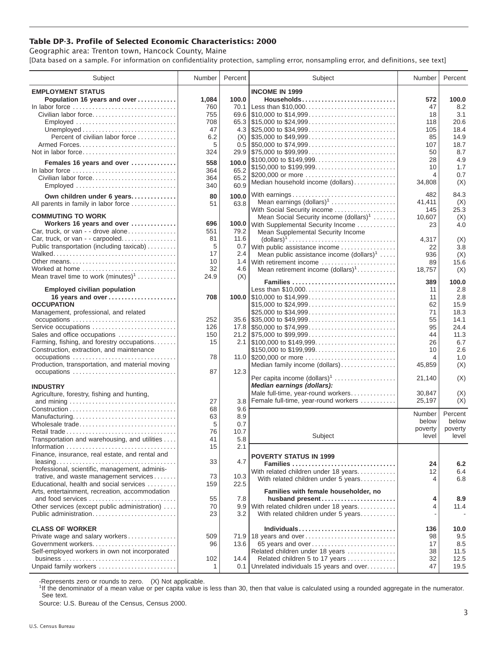## **Table DP-3. Profile of Selected Economic Characteristics: 2000**

Geographic area: Trenton town, Hancock County, Maine [Data based on a sample. For information on confidentiality protection, sampling error, nonsampling error, and definitions, see text]

| Subject                                                                         | Number       | Percent | Subject                                                                                | Number         | Percent |
|---------------------------------------------------------------------------------|--------------|---------|----------------------------------------------------------------------------------------|----------------|---------|
| <b>EMPLOYMENT STATUS</b>                                                        |              |         | <b>INCOME IN 1999</b>                                                                  |                |         |
| Population 16 years and over                                                    | 1,084        | 100.0   | Households                                                                             | 572            | 100.0   |
| In labor force                                                                  | 760          | 70.1    | Less than \$10,000                                                                     | 47             | 8.2     |
| Civilian labor force                                                            | 755          |         |                                                                                        | 18             | 3.1     |
|                                                                                 | 708          |         |                                                                                        | 118            | 20.6    |
| Employed                                                                        |              |         |                                                                                        |                |         |
|                                                                                 | 47           |         |                                                                                        | 105            | 18.4    |
| Percent of civilian labor force                                                 | 6.2          |         | $(X)$ \\ \$35,000 to \$49,999                                                          | 85             | 14.9    |
|                                                                                 | 5            |         | $0.5$ \\$50,000 to \$74,999                                                            | 107            | 18.7    |
| Not in labor force                                                              | 324          |         |                                                                                        | 50             | 8.7     |
| Females 16 years and over                                                       | 558          | 100.0   | \$100,000 to \$149,999                                                                 | 28             | 4.9     |
| In labor force $\ldots, \ldots, \ldots, \ldots, \ldots, \ldots, \ldots, \ldots$ | 364          | 65.2    | \$150,000 to \$199,999                                                                 | 10             | 1.7     |
| Civilian labor force                                                            | 364          | 65.2    | \$200,000 or more                                                                      | $\overline{4}$ | 0.7     |
| Employed                                                                        | 340          | 60.9    | Median household income (dollars)                                                      | 34,808         | (X)     |
|                                                                                 |              |         |                                                                                        |                |         |
| Own children under 6 years                                                      | 80           | 100.0   | With earnings                                                                          | 482            | 84.3    |
| All parents in family in labor force                                            | 51           | 63.8    | Mean earnings $(dollars)1$                                                             | 41,411         | (X)     |
|                                                                                 |              |         | With Social Security income                                                            | 145            | 25.3    |
| <b>COMMUTING TO WORK</b>                                                        |              |         | Mean Social Security income $(dollars)^1$                                              | 10,607         | (X)     |
| Workers 16 years and over                                                       | 696          |         | 100.0 With Supplemental Security Income                                                | 23             | 4.0     |
| Car, truck, or van - - drove alone                                              | 551          | 79.2    | Mean Supplemental Security Income                                                      |                |         |
| Car, truck, or van - - carpooled                                                | 81           | 11.6    | $\text{(dollars)}^1 \dots \dots \dots \dots \dots \dots \dots \dots \dots \dots \dots$ | 4,317          | (X)     |
| Public transportation (including taxicab)                                       | 5            | 0.7     | With public assistance income                                                          | 22             | 3.8     |
|                                                                                 | 17           | 2.4     | Mean public assistance income $(dollars)1 \ldots$ .                                    | 936            | (X)     |
| Other means                                                                     | 10           | 1.4     | With retirement income                                                                 | 89             | 15.6    |
| Worked at home                                                                  | 32           | 4.6     | Mean retirement income $(dollars)1$                                                    | 18,757         | (X)     |
| Mean travel time to work $(minutes)^1$                                          | 24.9         | (X)     |                                                                                        |                |         |
|                                                                                 |              |         |                                                                                        | 389            | 100.0   |
| <b>Employed civilian population</b>                                             |              |         | Less than \$10,000                                                                     | 11             | 2.8     |
| 16 years and over                                                               | 708          |         |                                                                                        | 11             | 2.8     |
| <b>OCCUPATION</b>                                                               |              |         | \$15,000 to \$24,999                                                                   | 62             | 15.9    |
| Management, professional, and related                                           |              |         | \$25,000 to \$34,999                                                                   | 71             | 18.3    |
|                                                                                 | 252          |         | $35.6$ \\ \$35,000 to \$49,999                                                         | 55             | 14.1    |
| Service occupations                                                             | 126          |         |                                                                                        | 95             | 24.4    |
| Sales and office occupations                                                    | 150          |         |                                                                                        | 44             | 11.3    |
| Farming, fishing, and forestry occupations                                      | 15           |         |                                                                                        | 26             | 6.7     |
| Construction, extraction, and maintenance                                       |              |         |                                                                                        | 10             | 2.6     |
|                                                                                 |              |         | \$150,000 to \$199,999                                                                 |                |         |
| occupations                                                                     | 78           |         |                                                                                        | 4              | 1.0     |
| Production, transportation, and material moving                                 |              |         | Median family income (dollars)                                                         | 45,859         | (X)     |
| occupations                                                                     | 87           | 12.3    | Per capita income $(dollars)1$                                                         | 21,140         | (X)     |
|                                                                                 |              |         | Median earnings (dollars):                                                             |                |         |
| <b>INDUSTRY</b>                                                                 |              |         | Male full-time, year-round workers                                                     |                |         |
| Agriculture, forestry, fishing and hunting,                                     |              |         |                                                                                        | 30,847         | (X)     |
|                                                                                 | 27           | 3.8     | Female full-time, year-round workers                                                   | 25,197         | (X)     |
|                                                                                 | 68           | 9.6     |                                                                                        | Number         | Percent |
| Manufacturing                                                                   | 63           | 8.9     |                                                                                        | below          | below   |
| Wholesale trade                                                                 | 5            | 0.7     |                                                                                        | poverty        | poverty |
| Retail trade                                                                    | 76           | 10.7    | Subject                                                                                | level          | level   |
| Transportation and warehousing, and utilities                                   | 41           | 5.8     |                                                                                        |                |         |
|                                                                                 | 15           | 2.1     |                                                                                        |                |         |
| Finance, insurance, real estate, and rental and                                 |              |         | <b>POVERTY STATUS IN 1999</b>                                                          |                |         |
|                                                                                 | 33           | 4.7     | Families                                                                               | 24             | 6.2     |
| Professional, scientific, management, adminis-                                  |              |         | With related children under 18 years                                                   | 12             | 6.4     |
| trative, and waste management services                                          | 73           | 10.3    | With related children under 5 years                                                    | 4              | 6.8     |
| Educational, health and social services                                         | 159          | 22.5    |                                                                                        |                |         |
| Arts, entertainment, recreation, accommodation                                  |              |         | Families with female householder, no                                                   |                |         |
| and food services                                                               | 55           | 7.8     | husband present                                                                        | 4              | 8.9     |
| Other services (except public administration)                                   | 70           | 9.9     | With related children under 18 years                                                   | 4              | 11.4    |
| Public administration                                                           | 23           | 3.2     | With related children under 5 years                                                    |                |         |
|                                                                                 |              |         |                                                                                        |                |         |
| <b>CLASS OF WORKER</b>                                                          |              |         | Individuals                                                                            | 136            | 10.0    |
| Private wage and salary workers                                                 | 509          |         | 71.9 18 years and over                                                                 | 98             | 9.5     |
| Government workers                                                              | 96           | 13.6    | 65 years and over                                                                      | 17             | 8.5     |
| Self-employed workers in own not incorporated                                   |              |         | Related children under 18 years                                                        | 38             | 11.5    |
|                                                                                 |              | 14.4    |                                                                                        |                |         |
|                                                                                 | 102          |         | Related children 5 to 17 years                                                         | 32             | 12.5    |
| Unpaid family workers                                                           | $\mathbf{1}$ | 0.1     | Unrelated individuals 15 years and over                                                | 47             | 19.5    |

-Represents zero or rounds to zero. (X) Not applicable.

<sup>1</sup>If the denominator of a mean value or per capita value is less than 30, then that value is calculated using a rounded aggregate in the numerator. See text.

Source: U.S. Bureau of the Census, Census 2000.